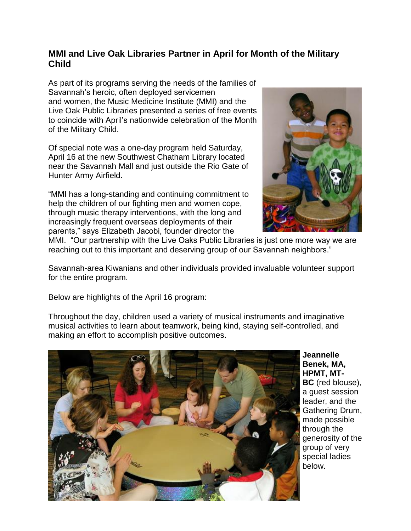## **MMI and Live Oak Libraries Partner in April for Month of the Military Child**

As part of its programs serving the needs of the families of Savannah's heroic, often deployed servicemen and women, the Music Medicine Institute (MMI) and the Live Oak Public Libraries presented a series of free events to coincide with April's nationwide celebration of the Month of the Military Child.

Of special note was a one-day program held Saturday, April 16 at the new Southwest Chatham Library located near the Savannah Mall and just outside the Rio Gate of Hunter Army Airfield.

"MMI has a long-standing and continuing commitment to help the children of our fighting men and women cope. through music therapy interventions, with the long and increasingly frequent overseas deployments of their parents," says Elizabeth Jacobi, founder director the



MMI. "Our partnership with the Live Oaks Public Libraries is just one more way we are reaching out to this important and deserving group of our Savannah neighbors."

Savannah-area Kiwanians and other individuals provided invaluable volunteer support for the entire program.

Below are highlights of the April 16 program:

Throughout the day, children used a variety of musical instruments and imaginative musical activities to learn about teamwork, being kind, staying self-controlled, and making an effort to accomplish positive outcomes.



**Jeannelle Benek, MA, HPMT, MT-BC** (red blouse), a guest session leader, and the Gathering Drum, made possible through the generosity of the group of very special ladies below.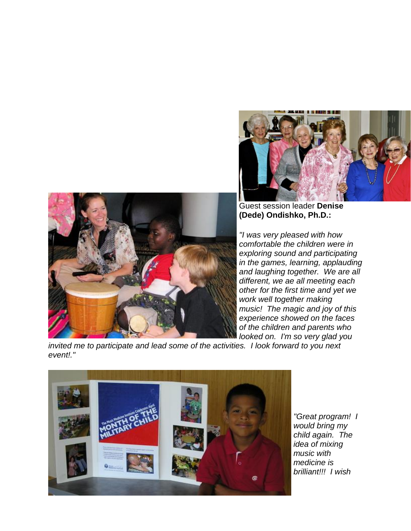



Guest session leader **Denise (Dede) Ondishko, Ph.D.:**

*"I was very pleased with how comfortable the children were in exploring sound and participating in the games, learning, applauding and laughing together. We are all different, we ae all meeting each other for the first time and yet we work well together making music! The magic and joy of this experience showed on the faces of the children and parents who looked on. I'm so very glad you* 

*invited me to participate and lead some of the activities. I look forward to you next event!."*



*"Great program! I would bring my child again. The idea of mixing music with medicine is brilliant!!! I wish*